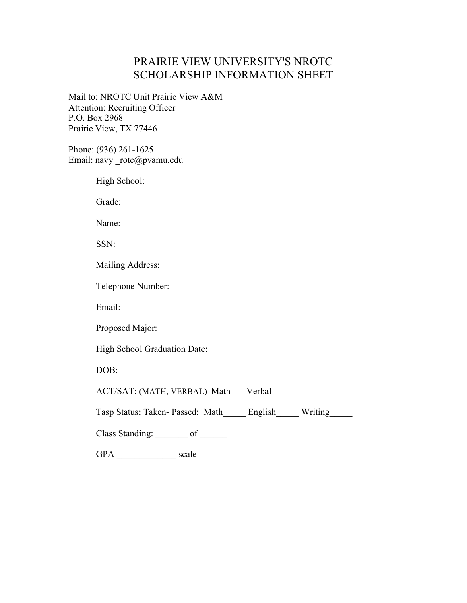## PRAIRIE VIEW UNIVERSITY'S NROTC SCHOLARSHIP INFORMATION SHEET

Mail to: NROTC Unit Prairie View A&M Attention: Recruiting Officer P.O. Box 2968 Prairie View, TX 77446

Phone: (936) 261-1625 Email: navy \_rotc@pvamu.edu

High School:

Grade:

Name:

SSN:

Mailing Address:

Telephone Number:

Email:

Proposed Major:

High School Graduation Date:

DOB:

ACT/SAT: (MATH, VERBAL) Math Verbal

Tasp Status: Taken- Passed: Math English Writing

Class Standing: of of the contract of the contract of  $\qquad$ 

GPA \_\_\_\_\_\_\_\_\_\_\_\_\_\_\_\_\_ scale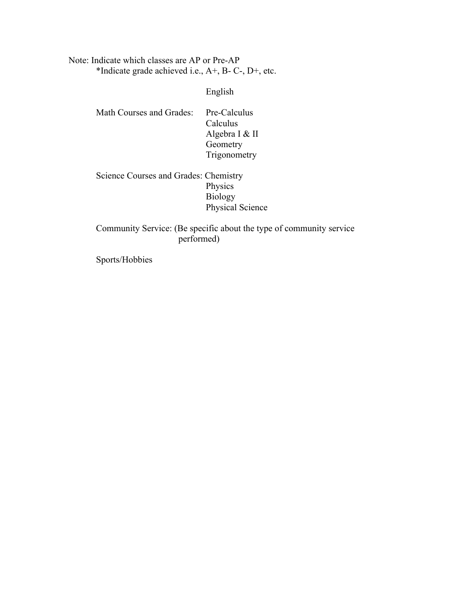Note: Indicate which classes are AP or Pre-AP \*Indicate grade achieved i.e., A+, B- C-, D+, etc.

English

| Pre-Calculus   |
|----------------|
| Calculus       |
| Algebra I & II |
| Geometry       |
| Trigonometry   |
|                |

Science Courses and Grades: Chemistry Physics Biology Physical Science

### Community Service: (Be specific about the type of community service performed)

Sports/Hobbies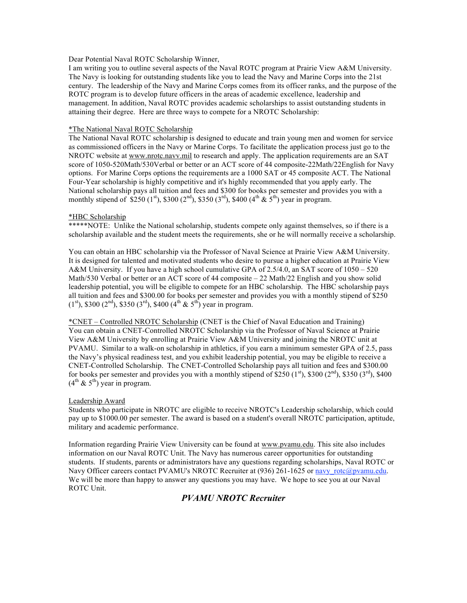Dear Potential Naval ROTC Scholarship Winner,

I am writing you to outline several aspects of the Naval ROTC program at Prairie View A&M University. The Navy is looking for outstanding students like you to lead the Navy and Marine Corps into the 21st century. The leadership of the Navy and Marine Corps comes from its officer ranks, and the purpose of the ROTC program is to develop future officers in the areas of academic excellence, leadership and management. In addition, Naval ROTC provides academic scholarships to assist outstanding students in attaining their degree. Here are three ways to compete for a NROTC Scholarship:

#### \*The National Naval ROTC Scholarship

The National Naval ROTC scholarship is designed to educate and train young men and women for service as commissioned officers in the Navy or Marine Corps. To facilitate the application process just go to the NROTC website at www.nrotc.navv.mil to research and apply. The application requirements are an SAT score of 1050-520Math/530Verbal or better or an ACT score of 44 composite-22Math/22English for Navy options. For Marine Corps options the requirements are a 1000 SAT or 45 composite ACT. The National Four-Year scholarship is highly competitive and it's highly recommended that you apply early. The National scholarship pays all tuition and fees and \$300 for books per semester and provides you with a monthly stipend of \$250 (1st), \$300 (2<sup>nd</sup>), \$350 (3<sup>rd</sup>), \$400 (4<sup>th</sup> & 5<sup>th</sup>) year in program.

#### \*HBC Scholarship

\*\*\*\*\*NOTE: Unlike the National scholarship, students compete only against themselves, so if there is a scholarship available and the student meets the requirements, she or he will normally receive a scholarship.

You can obtain an HBC scholarship via the Professor of Naval Science at Prairie View A&M University. It is designed for talented and motivated students who desire to pursue a higher education at Prairie View A&M University. If you have a high school cumulative GPA of 2.5/4.0, an SAT score of 1050 – 520 Math/530 Verbal or better or an ACT score of 44 composite – 22 Math/22 English and you show solid leadership potential, you will be eligible to compete for an HBC scholarship. The HBC scholarship pays all tuition and fees and \$300.00 for books per semester and provides you with a monthly stipend of \$250  $(1<sup>st</sup>)$ , \$300  $(2<sup>nd</sup>)$ , \$350  $(3<sup>rd</sup>)$ , \$400  $(4<sup>th</sup> \& 5<sup>th</sup>)$  year in program.

\*CNET – Controlled NROTC Scholarship (CNET is the Chief of Naval Education and Training) You can obtain a CNET-Controlled NROTC Scholarship via the Professor of Naval Science at Prairie View A&M University by enrolling at Prairie View A&M University and joining the NROTC unit at PVAMU. Similar to a walk-on scholarship in athletics, if you earn a minimum semester GPA of 2.5, pass the Navy's physical readiness test, and you exhibit leadership potential, you may be eligible to receive a CNET-Controlled Scholarship. The CNET-Controlled Scholarship pays all tuition and fees and \$300.00 for books per semester and provides you with a monthly stipend of  $$250 (1<sup>st</sup>)$ , \$300 ( $2<sup>nd</sup>$ ), \$350 ( $3<sup>rd</sup>$ ), \$400  $(4^{th} \& 5^{th})$  year in program.

#### Leadership Award

Students who participate in NROTC are eligible to receive NROTC's Leadership scholarship, which could pay up to \$1000.00 per semester. The award is based on a student's overall NROTC participation, aptitude, military and academic performance.

Information regarding Prairie View University can be found at www.pvamu.edu. This site also includes information on our Naval ROTC Unit. The Navy has numerous career opportunities for outstanding students. If students, parents or administrators have any questions regarding scholarships, Naval ROTC or Navy Officer careers contact PVAMU's NROTC Recruiter at (936) 261-1625 or navy rotc@pvamu.edu. We will be more than happy to answer any questions you may have. We hope to see you at our Naval ROTC Unit.

### *PVAMU NROTC Recruiter*